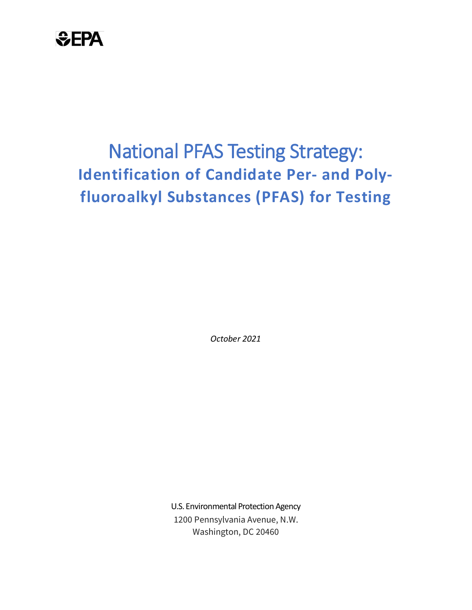

## National PFAS Testing Strategy: **Identification of Candidate Per- and Polyfluoroalkyl Substances (PFAS) for Testing**

*October 2021*

U.S. Environmental Protection Agency 1200 Pennsylvania Avenue, N.W. Washington, DC 20460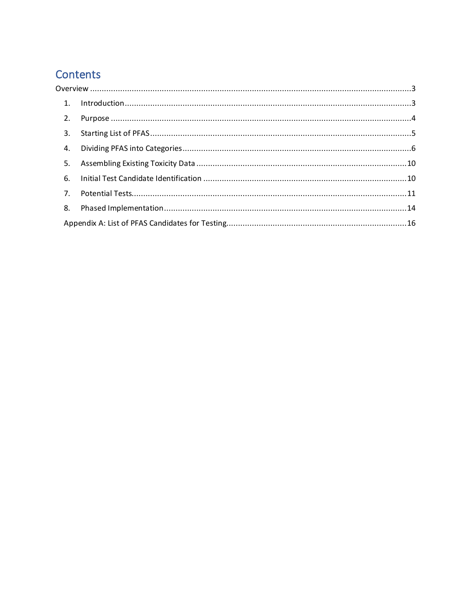## Contents

| 2.             |  |  |  |  |
|----------------|--|--|--|--|
| 3.             |  |  |  |  |
| 4.             |  |  |  |  |
| 5.             |  |  |  |  |
| 6.             |  |  |  |  |
| 7 <sub>1</sub> |  |  |  |  |
| 8.             |  |  |  |  |
|                |  |  |  |  |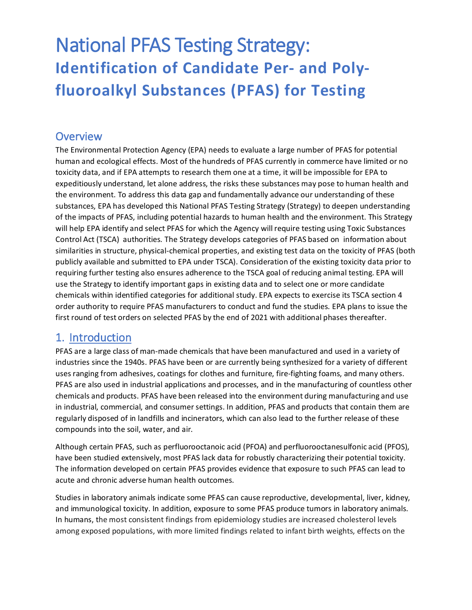## National PFAS Testing Strategy: **Identification of Candidate Per- and Polyfluoroalkyl Substances (PFAS) for Testing**

#### <span id="page-2-0"></span>**Overview**

The Environmental Protection Agency (EPA) needs to evaluate a large number of PFAS for potential human and ecological effects. Most of the hundreds of PFAS currently in commerce have limited or no toxicity data, and if EPA attempts to research them one at a time, it will be impossible for EPA to expeditiously understand, let alone address, the risks these substances may pose to human health and the environment. To address this data gap and fundamentally advance our understanding of these substances, EPA has developed this National PFAS Testing Strategy (Strategy) to deepen understanding of the impacts of PFAS, including potential hazards to human health and the environment. This Strategy will help EPA identify and select PFAS for which the Agency will require testing using Toxic Substances Control Act (TSCA) authorities. The Strategy develops categories of PFAS based on information about similarities in structure, physical-chemical properties, and existing test data on the toxicity of PFAS (both publicly available and submitted to EPA under TSCA). Consideration of the existing toxicity data prior to requiring further testing also ensures adherence to the TSCA goal of reducing animal testing. EPA will use the Strategy to identify important gaps in existing data and to select one or more candidate chemicals within identified categories for additional study. EPA expects to exercise its TSCA section 4 order authority to require PFAS manufacturers to conduct and fund the studies. EPA plans to issue the first round of test orders on selected PFAS by the end of 2021 with additional phases thereafter.

#### <span id="page-2-1"></span>1. Introduction

PFAS are a large class of man-made chemicals that have been manufactured and used in a variety of industries since the 1940s. PFAS have been or are currently being synthesized for a variety of different uses ranging from adhesives, coatings for clothes and furniture, fire-fighting foams, and many others. PFAS are also used in industrial applications and processes, and in the manufacturing of countless other chemicals and products. PFAS have been released into the environment during manufacturing and use in industrial, commercial, and consumer settings. In addition, PFAS and products that contain them are regularly disposed of in landfills and incinerators, which can also lead to the further release of these compounds into the soil, water, and air.

Although certain PFAS, such as perfluorooctanoic acid (PFOA) and perfluorooctanesulfonic acid (PFOS), have been studied extensively, most PFAS lack data for robustly characterizing their potential toxicity. The information developed on certain PFAS provides evidence that exposure to such PFAS can lead to acute and chronic adverse human health outcomes.

Studies in laboratory animals indicate some PFAS can cause reproductive, developmental, liver, kidney, and immunological toxicity. In addition, exposure to some PFAS produce tumors in laboratory animals. In humans, the most consistent findings from epidemiology studies are increased cholesterol levels among exposed populations, with more limited findings related to infant birth weights, effects on the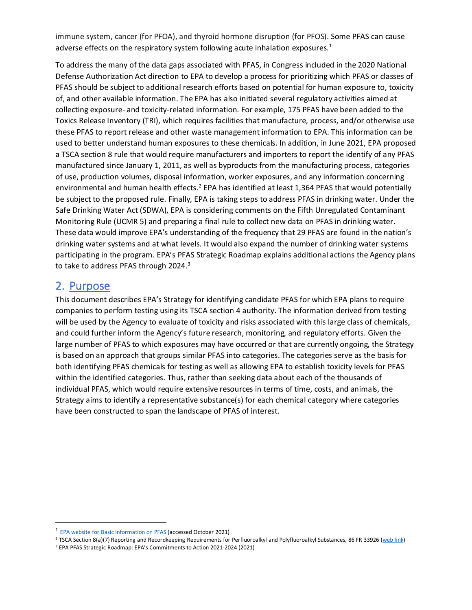immune system, cancer (for PFOA), and thyroid hormone disruption (for PFOS). Some PFAS can cause adverse effects on the respiratory system following acute inhalation exposures.<sup>[1](#page-3-1)</sup>

To address the many of the data gaps associated with PFAS, in Congress included in the 2020 National Defense Authorization Act direction to EPA to develop a process for prioritizing which PFAS or classes of PFAS should be subject to additional research efforts based on potential for human exposure to, toxicity of, and other available information. The EPA has also initiated several regulatory activities aimed at collecting exposure- and toxicity-related information. For example, 175 PFAS have been added to the Toxics Release Inventory (TRI), which requires facilities that manufacture, process, and/or otherwise use these PFAS to report release and other waste management information to EPA. This information can be used to better understand human exposures to these chemicals. In addition, in June 2021, EPA proposed a TSCA section 8 rule that would require manufacturers and importers to report the identify of any PFAS manufactured since January 1, 2011, as well as byproducts from the manufacturing process, categories of use, production volumes, disposal information, worker exposures, and any information concerning environmental and human health effects.<sup>[2](#page-3-2)</sup> EPA has identified at least 1,364 PFAS that would potentially be subject to the proposed rule. Finally, EPA is taking steps to address PFAS in drinking water. Under the Safe Drinking Water Act (SDWA), EPA is considering comments on the Fifth Unregulated Contaminant Monitoring Rule (UCMR 5) and preparing a final rule to collect new data on PFAS in drinking water. These data would improve EPA's understanding of the frequency that 29 PFAS are found in the nation's drinking water systems and at what levels. It would also expand the number of drinking water systems participating in the program. EPA's PFAS Strategic Roadmap explains additional actions the Agency plans to take to address PFAS through 2024.<sup>[3](#page-3-3)</sup>

#### <span id="page-3-0"></span>2. Purpose

This document describes EPA's Strategy for identifying candidate PFAS for which EPA plans to require companies to perform testing using its TSCA section 4 authority. The information derived from testing will be used by the Agency to evaluate of toxicity and risks associated with this large class of chemicals, and could further inform the Agency's future research, monitoring, and regulatory efforts. Given the large number of PFAS to which exposures may have occurred or that are currently ongoing, the Strategy is based on an approach that groups similar PFAS into categories. The categories serve as the basis for both identifying PFAS chemicals for testing as well as allowing EPA to establish toxicity levels for PFAS within the identified categories. Thus, rather than seeking data about each of the thousands of individual PFAS, which would require extensive resources in terms of time, costs, and animals, the Strategy aims to identify a representative substance(s) for each chemical category where categories have been constructed to span the landscape of PFAS of interest.

<span id="page-3-1"></span><sup>1</sup> [EPA website for Basic Information on PFAS \(](https://www.epa.gov/pfas/basic-information-pfas)accessed October 2021)

<span id="page-3-2"></span><sup>&</sup>lt;sup>2</sup> TSCA Section 8(a)(7) Reporting and Recordkeeping Requirements for Perfluoroalkyl and Polyfluoroalkyl Substances, 86 FR 33926 [\(web link\)](https://www.epa.gov/assessing-and-managing-chemicals-under-tsca/tsca-section-8a7-reporting-and-recordkeeping)

<span id="page-3-3"></span><sup>3</sup> EPA PFAS Strategic Roadmap: EPA's Commitments to Action 2021-2024 (2021)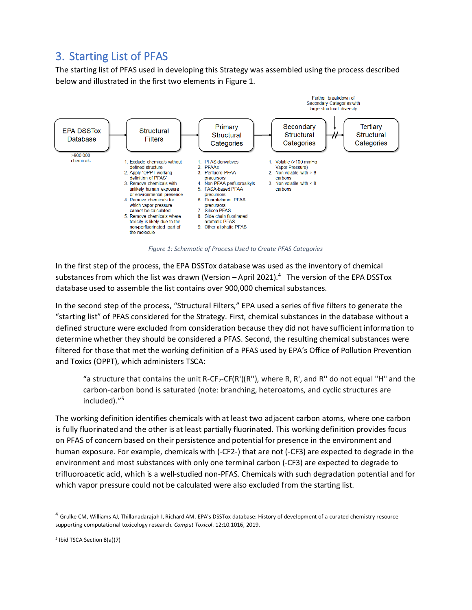### <span id="page-4-0"></span>3. Starting List of PFAS

The starting list of PFAS used in developing this Strategy was assembled using the process described below and illustrated in the first two elements in Figure 1.



*Figure 1: Schematic of Process Used to Create PFAS Categories*

In the first step of the process, the EPA DSSTox database was used as the inventory of chemical substances from which the list was drawn (Version – April 2021).<sup>[4](#page-4-1)</sup> The version of the EPA DSSTox database used to assemble the list contains over 900,000 chemical substances.

In the second step of the process, "Structural Filters," EPA used a series of five filters to generate the "starting list" of PFAS considered for the Strategy. First, chemical substances in the database without a defined structure were excluded from consideration because they did not have sufficient information to determine whether they should be considered a PFAS. Second, the resulting chemical substances were filtered for those that met the working definition of a PFAS used by EPA's Office of Pollution Prevention and Toxics (OPPT), which administers TSCA:

"a structure that contains the unit R-CF<sub>2</sub>-CF(R')(R''), where R, R', and R'' do not equal "H" and the carbon-carbon bond is saturated (note: branching, heteroatoms, and cyclic structures are included)."[5](#page-4-2)

The working definition identifies chemicals with at least two adjacent carbon atoms, where one carbon is fully fluorinated and the other is at least partially fluorinated. This working definition provides focus on PFAS of concern based on their persistence and potential for presence in the environment and human exposure. For example, chemicals with (-CF2-) that are not (-CF3) are expected to degrade in the environment and most substances with only one terminal carbon (-CF3) are expected to degrade to trifluoroacetic acid, which is a well-studied non-PFAS. Chemicals with such degradation potential and for which vapor pressure could not be calculated were also excluded from the starting list.

<span id="page-4-1"></span><sup>4</sup> Grulke CM, Williams AJ, Thillanadarajah I, Richard AM. EPA's DSSTox database: History of development of a curated chemistry resource supporting computational toxicology research. *Comput Toxicol*. 12:10.1016, 2019.

<span id="page-4-2"></span><sup>5</sup> Ibid TSCA Section 8(a)(7)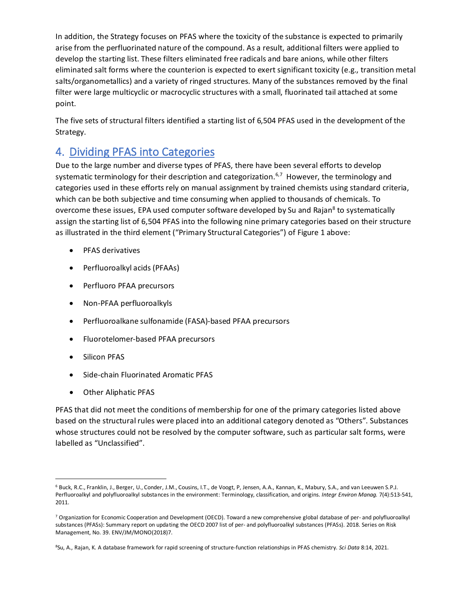In addition, the Strategy focuses on PFAS where the toxicity of the substance is expected to primarily arise from the perfluorinated nature of the compound. As a result, additional filters were applied to develop the starting list. These filters eliminated free radicals and bare anions, while other filters eliminated salt forms where the counterion is expected to exert significant toxicity (e.g., transition metal salts/organometallics) and a variety of ringed structures. Many of the substances removed by the final filter were large multicyclic or macrocyclic structures with a small, fluorinated tail attached at some point.

The five sets of structural filters identified a starting list of 6,504 PFAS used in the development of the Strategy.

#### <span id="page-5-0"></span>4. Dividing PFAS into Categories

Due to the large number and diverse types of PFAS, there have been several efforts to develop systematic terminology for their description and categorization.<sup>[6](#page-5-1),[7](#page-5-2)</sup> However, the terminology and categories used in these efforts rely on manual assignment by trained chemists using standard criteria, which can be both subjective and time consuming when applied to thousands of chemicals. To overcome these issues, EPA used computer software developed by Su and Rajan<sup>[8](#page-5-3)</sup> to systematically assign the starting list of 6,504 PFAS into the following nine primary categories based on their structure as illustrated in the third element ("Primary Structural Categories") of Figure 1 above:

- PFAS derivatives
- Perfluoroalkyl acids (PFAAs)
- Perfluoro PFAA precursors
- Non-PFAA perfluoroalkyls
- Perfluoroalkane sulfonamide (FASA)-based PFAA precursors
- Fluorotelomer-based PFAA precursors
- Silicon PFAS
- Side-chain Fluorinated Aromatic PFAS
- Other Aliphatic PFAS

PFAS that did not meet the conditions of membership for one of the primary categories listed above based on the structural rules were placed into an additional category denoted as "Others". Substances whose structures could not be resolved by the computer software, such as particular salt forms, were labelled as "Unclassified".

<span id="page-5-1"></span><sup>6</sup> Buck, R.C., Franklin, J., Berger, U., Conder, J.M., Cousins, I.T., de Voogt, P, Jensen, A.A., Kannan, K., Mabury, S.A., and van Leeuwen S.P.J. Perfluoroalkyl and polyfluoroalkyl substances in the environment: Terminology, classification, and origins. *Integr Environ Manag.* 7(4):513-541, 2011.

<span id="page-5-2"></span><sup>7</sup> Organization for Economic Cooperation and Development (OECD). Toward a new comprehensive global database of per- and polyfluoroalkyl substances (PFASs): Summary report on updating the OECD 2007 list of per- and polyfluoroalkyl substances (PFASs). 2018. Series on Risk Management, No. 39. ENV/JM/MONO(2018)7.

<span id="page-5-3"></span><sup>8</sup>Su, A., Rajan, K. A database framework for rapid screening of structure-function relationships in PFAS chemistry. *Sci Data* 8:14, 2021.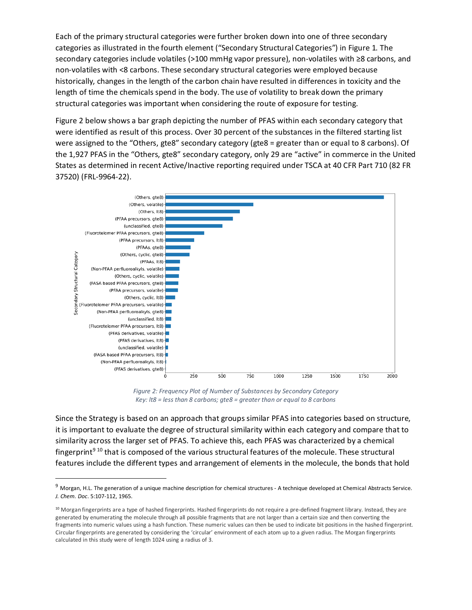Each of the primary structural categories were further broken down into one of three secondary categories as illustrated in the fourth element ("Secondary Structural Categories") in Figure 1. The secondary categories include volatiles (>100 mmHg vapor pressure), non-volatiles with ≥8 carbons, and non-volatiles with <8 carbons. These secondary structural categories were employed because historically, changes in the length of the carbon chain have resulted in differences in toxicity and the length of time the chemicals spend in the body. The use of volatility to break down the primary structural categories was important when considering the route of exposure for testing.

Figure 2 below shows a bar graph depicting the number of PFAS within each secondary category that were identified as result of this process. Over 30 percent of the substances in the filtered starting list were assigned to the "Others, gte8" secondary category (gte8 = greater than or equal to 8 carbons). Of the 1,927 PFAS in the "Others, gte8" secondary category, only 29 are "active" in commerce in the United States as determined in recent Active/Inactive reporting required under TSCA at 40 CFR Part 710 (82 FR 37520) (FRL-9964-22).



*Figure 2: Frequency Plot of Number of Substances by Secondary Category Key: lt8 = less than 8 carbons; gte8 = greater than or equal to 8 carbons* 

Since the Strategy is based on an approach that groups similar PFAS into categories based on structure, it is important to evaluate the degree of structural similarity within each category and compare that to similarity across the larger set of PFAS. To achieve this, each PFAS was characterized by a chemical fingerprint<sup>9 [10](#page-6-1)</sup> that is composed of the various structural features of the molecule. These structural features include the different types and arrangement of elements in the molecule, the bonds that hold

<span id="page-6-0"></span> $9$  Morgan, H.L. The generation of a unique machine description for chemical structures - A technique developed at Chemical Abstracts Service. *J. Chem. Doc*. 5:107-112, 1965.

<span id="page-6-1"></span><sup>&</sup>lt;sup>10</sup> Morgan fingerprints are a type of hashed fingerprints. Hashed fingerprints do not require a pre-defined fragment library. Instead, they are generated by enumerating the molecule through all possible fragments that are not larger than a certain size and then converting the fragments into numeric values using a hash function. These numeric values can then be used to indicate bit positions in the hashed fingerprint. Circular fingerprints are generated by considering the 'circular' environment of each atom up to a given radius. The Morgan fingerprints calculated in this study were of length 1024 using a radius of 3.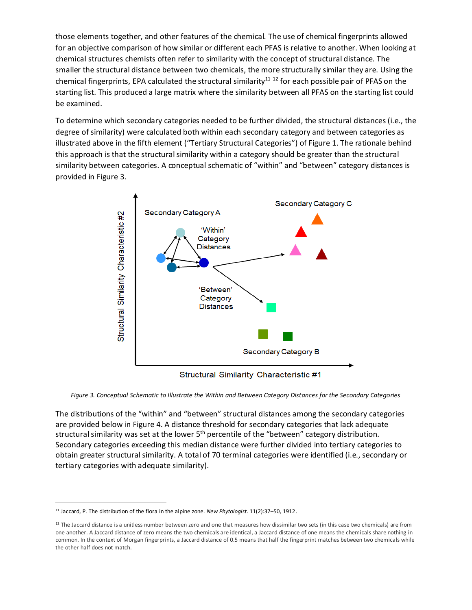those elements together, and other features of the chemical. The use of chemical fingerprints allowed for an objective comparison of how similar or different each PFAS is relative to another. When looking at chemical structures chemists often refer to similarity with the concept of structural distance. The smaller the structural distance between two chemicals, the more structurally similar they are. Using the chemical fingerprints, EPA calculated the structural similarity<sup>[11](#page-7-0) [12](#page-7-1)</sup> for each possible pair of PFAS on the starting list. This produced a large matrix where the similarity between all PFAS on the starting list could be examined.

To determine which secondary categories needed to be further divided, the structural distances (i.e., the degree of similarity) were calculated both within each secondary category and between categories as illustrated above in the fifth element ("Tertiary Structural Categories") of Figure 1. The rationale behind this approach is that the structural similarity within a category should be greater than the structural similarity between categories. A conceptual schematic of "within" and "between" category distances is provided in Figure 3.



Structural Similarity Characteristic #1

*Figure 3. Conceptual Schematic to Illustrate the Within and Between Category Distances for the Secondary Categories*

The distributions of the "within" and "between" structural distances among the secondary categories are provided below in Figure 4. A distance threshold for secondary categories that lack adequate structural similarity was set at the lower  $5<sup>th</sup>$  percentile of the "between" category distribution. Secondary categories exceeding this median distance were further divided into tertiary categories to obtain greater structural similarity. A total of 70 terminal categories were identified (i.e., secondary or tertiary categories with adequate similarity).

<span id="page-7-0"></span><sup>11</sup> Jaccard, P. The distribution of the flora in the alpine zone. *New Phytologist*. 11(2):37–50, 1912.

<span id="page-7-1"></span> $12$  The Jaccard distance is a unitless number between zero and one that measures how dissimilar two sets (in this case two chemicals) are from one another. A Jaccard distance of zero means the two chemicals are identical, a Jaccard distance of one means the chemicals share nothing in common. In the context of Morgan fingerprints, a Jaccard distance of 0.5 means that half the fingerprint matches between two chemicals while the other half does not match.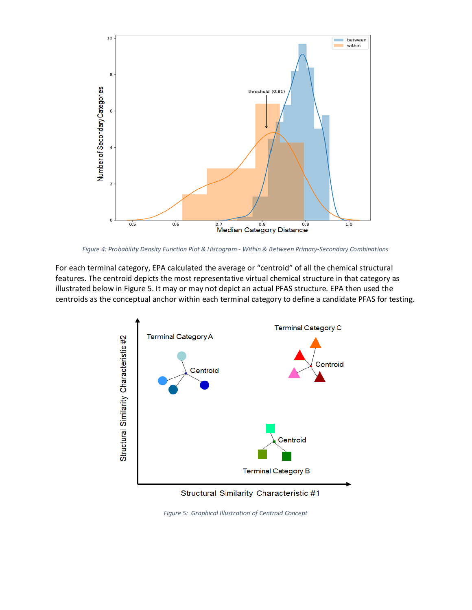

*Figure 4: Probability Density Function Plot & Histogram - Within & Between Primary-Secondary Combinations*

For each terminal category, EPA calculated the average or "centroid" of all the chemical structural features. The centroid depicts the most representative virtual chemical structure in that category as illustrated below in Figure 5. It may or may not depict an actual PFAS structure. EPA then used the centroids as the conceptual anchor within each terminal category to define a candidate PFAS for testing.



Structural Similarity Characteristic #1

*Figure 5: Graphical Illustration of Centroid Concept*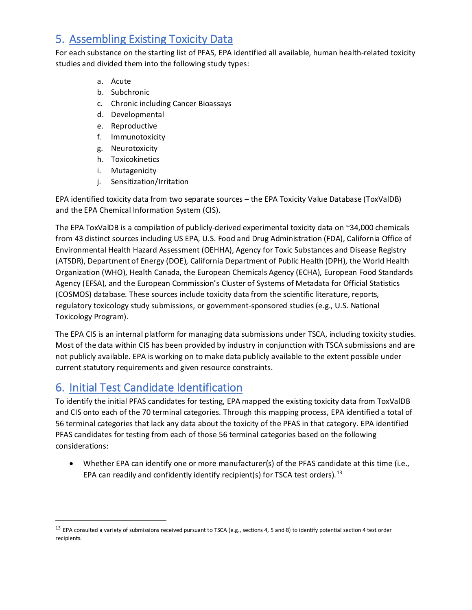## <span id="page-9-0"></span>5. Assembling Existing Toxicity Data

For each substance on the starting list of PFAS, EPA identified all available, human health-related toxicity studies and divided them into the following study types:

- a. Acute
- b. Subchronic
- c. Chronic including Cancer Bioassays
- d. Developmental
- e. Reproductive
- f. Immunotoxicity
- g. Neurotoxicity
- h. Toxicokinetics
- i. Mutagenicity
- j. Sensitization/Irritation

EPA identified toxicity data from two separate sources – the EPA Toxicity Value Database (ToxValDB) and the EPA Chemical Information System (CIS).

The EPA ToxValDB is a compilation of publicly-derived experimental toxicity data on ~34,000 chemicals from 43 distinct sources including US EPA, U.S. Food and Drug Administration (FDA), California Office of Environmental Health Hazard Assessment (OEHHA), Agency for Toxic Substances and Disease Registry (ATSDR), Department of Energy (DOE), California Department of Public Health (DPH), the World Health Organization (WHO), Health Canada, the European Chemicals Agency (ECHA), European Food Standards Agency (EFSA), and the European Commission's Cluster of Systems of Metadata for Official Statistics (COSMOS) database. These sources include toxicity data from the scientific literature, reports, regulatory toxicology study submissions, or government-sponsored studies (e.g., U.S. National Toxicology Program).

The EPA CIS is an internal platform for managing data submissions under TSCA, including toxicity studies. Most of the data within CIS has been provided by industry in conjunction with TSCA submissions and are not publicly available. EPA is working on to make data publicly available to the extent possible under current statutory requirements and given resource constraints.

#### <span id="page-9-1"></span>6. Initial Test Candidate Identification

To identify the initial PFAS candidates for testing, EPA mapped the existing toxicity data from ToxValDB and CIS onto each of the 70 terminal categories. Through this mapping process, EPA identified a total of 56 terminal categories that lack any data about the toxicity of the PFAS in that category. EPA identified PFAS candidates for testing from each of those 56 terminal categories based on the following considerations:

• Whether EPA can identify one or more manufacturer(s) of the PFAS candidate at this time (i.e., EPA can readily and confidently identify recipient(s) for TSCA test orders).<sup>[13](#page-9-2)</sup>

<span id="page-9-2"></span> $13$  EPA consulted a variety of submissions received pursuant to TSCA (e.g., sections 4, 5 and 8) to identify potential section 4 test order recipients.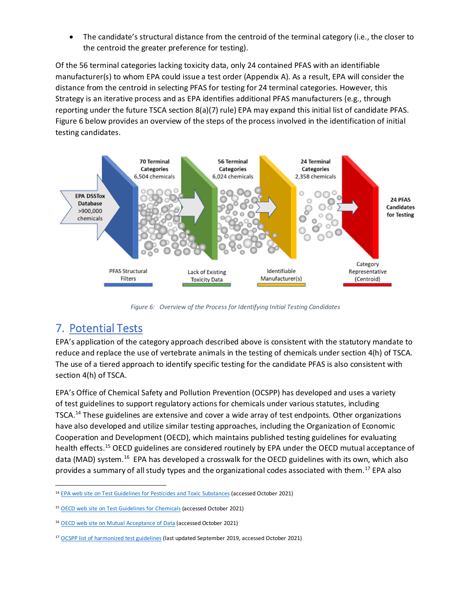The candidate's structural distance from the centroid of the terminal category (i.e., the closer to the centroid the greater preference for testing).

Of the 56 terminal categories lacking toxicity data, only 24 contained PFAS with an identifiable manufacturer(s) to whom EPA could issue a test order (Appendix A). As a result, EPA will consider the distance from the centroid in selecting PFAS for testing for 24 terminal categories. However, this Strategy is an iterative process and as EPA identifies additional PFAS manufacturers (e.g., through reporting under the future TSCA section 8(a)(7) rule) EPA may expand this initial list of candidate PFAS. Figure 6 below provides an overview of the steps of the process involved in the identification of initial testing candidates.



*Figure 6: Overview of the Process for Identifying Initial Testing Candidates*

### <span id="page-10-0"></span>7. Potential Tests

EPA's application of the category approach described above is consistent with the statutory mandate to reduce and replace the use of vertebrate animals in the testing of chemicals under section 4(h) of TSCA. The use of a tiered approach to identify specific testing for the candidate PFAS is also consistent with section 4(h) of TSCA.

EPA's Office of Chemical Safety and Pollution Prevention (OCSPP) has developed and uses a variety of test guidelines to support regulatory actions for chemicals under various statutes, including TSCA.[14](#page-10-1) These guidelines are extensive and cover a wide array of test endpoints. Other organizations have also developed and utilize similar testing approaches, including the Organization of Economic Cooperation and Development (OECD), which maintains published testing guidelines for evaluating health effects.<sup>15</sup> OECD guidelines are considered routinely by EPA under the OECD mutual acceptance of data (MAD) system.<sup>[16](#page-10-3)</sup> EPA has developed a crosswalk for the OECD guidelines with its own, which also provides a summary of all study types and the organizational codes associated with them.<sup>[17](#page-10-4)</sup> EPA also

<span id="page-10-1"></span><sup>&</sup>lt;sup>14</sup> [EPA web site on Test Guidelines for Pesticides and Toxic Substances](https://www.epa.gov/test-guidelines-pesticides-and-toxic-substances) (accessed October 2021)

<span id="page-10-2"></span><sup>&</sup>lt;sup>15</sup> [OECD web site on Test Guidelines for Chemicals](https://www.oecd.org/chemicalsafety/testing/oecdguidelinesforthetestingofchemicals.htm) (accessed October 2021)

<span id="page-10-3"></span><sup>16</sup> [OECD web site on Mutual Acceptance of Data](https://www.oecd.org/chemicalsafety/testing/mutualacceptanceofdatamad.htm) (accessed October 2021)

<span id="page-10-4"></span><sup>&</sup>lt;sup>17</sup> [OCSPP list of harmonized test guidelines](https://www.epa.gov/sites/default/files/2019-10/documents/ocspp-testguidelines_masterlist-2019-09-24.pdf) (last updated September 2019, accessed October 2021)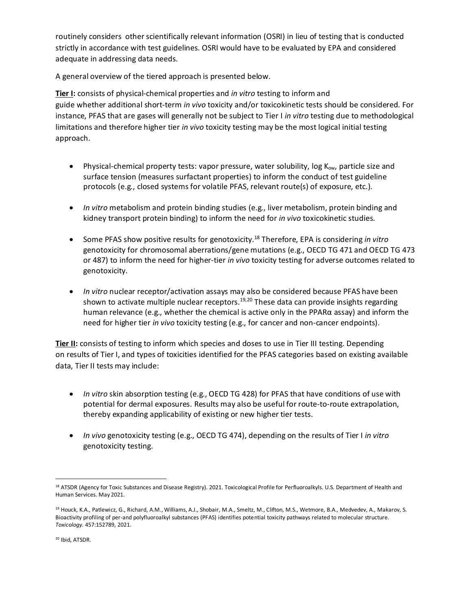routinely considers other scientifically relevant information (OSRI) in lieu of testing that is conducted strictly in accordance with test guidelines. OSRI would have to be evaluated by EPA and considered adequate in addressing data needs.

A general overview of the tiered approach is presented below.

**Tier I:** consists of physical-chemical properties and *in vitro* testing to inform and guide whether additional short-term *in vivo* toxicity and/or toxicokinetic tests should be considered. For instance, PFAS that are gases will generally not be subject to Tier I *in vitro* testing due to methodological limitations and therefore higher tier *in vivo* toxicity testing may be the most logical initial testing approach.

- Physical-chemical property tests: vapor pressure, water solubility, log  $K_{ow}$ , particle size and surface tension (measures surfactant properties) to inform the conduct of test guideline protocols (e.g., closed systems for volatile PFAS, relevant route(s) of exposure, etc.).
- *In vitro* metabolism and protein binding studies (e.g., liver metabolism, protein binding and kidney transport protein binding) to inform the need for *in vivo* toxicokinetic studies.
- Some PFAS show positive results for genotoxicity. [18](#page-11-0) Therefore, EPA is considering *in vitro* genotoxicity for chromosomal aberrations/gene mutations (e.g., OECD TG 471 and OECD TG 473 or 487) to inform the need for higher-tier *in vivo* toxicity testing for adverse outcomes related to genotoxicity.
- *In vitro* nuclear receptor/activation assays may also be considered because PFAS have been shown to activate multiple nuclear receptors.<sup>[19](#page-11-1)[,20](#page-11-2)</sup> These data can provide insights regarding human relevance (e.g., whether the chemical is active only in the PPARα assay) and inform the need for higher tier *in vivo* toxicity testing (e.g., for cancer and non-cancer endpoints).

**Tier II:** consists of testing to inform which species and doses to use in Tier III testing. Depending on results of Tier I, and types of toxicities identified for the PFAS categories based on existing available data, Tier II tests may include:

- *In vitro* skin absorption testing (e.g., OECD TG 428) for PFAS that have conditions of use with potential for dermal exposures. Results may also be useful for route-to-route extrapolation, thereby expanding applicability of existing or new higher tier tests.
- *In vivo* genotoxicity testing (e.g., OECD TG 474), depending on the results of Tier I *in vitro* genotoxicity testing.

<span id="page-11-0"></span><sup>18</sup> ATSDR (Agency for Toxic Substances and Disease Registry). 2021. Toxicological Profile for Perfluoroalkyls. U.S. Department of Health and Human Services. May 2021.

<span id="page-11-2"></span><span id="page-11-1"></span><sup>&</sup>lt;sup>19</sup> Houck, K.A., Patlewicz, G., Richard, A.M., Williams, A.J., Shobair, M.A., Smeltz, M., Clifton, M.S., Wetmore, B.A., Medvedev, A., Makarov, S. Bioactivity profiling of per-and polyfluoroalkyl substances (PFAS) identifies potential toxicity pathways related to molecular structure. *Toxicology.* 457:152789, 2021.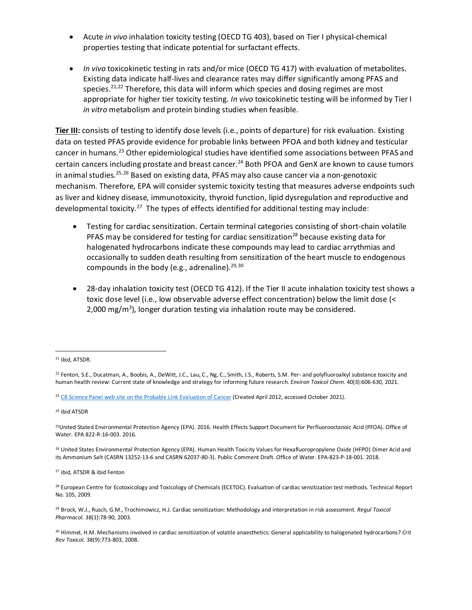- Acute *in vivo* inhalation toxicity testing (OECD TG 403), based on Tier I physical-chemical properties testing that indicate potential for surfactant effects.
- *In vivo* toxicokinetic testing in rats and/or mice (OECD TG 417) with evaluation of metabolites. Existing data indicate half-lives and clearance rates may differ significantly among PFAS and species.<sup>[21](#page-12-0),[22](#page-12-1)</sup> Therefore, this data will inform which species and dosing regimes are most appropriate for higher tier toxicity testing. *In vivo* toxicokinetic testing will be informed by Tier I *in vitro* metabolism and protein binding studies when feasible.

**Tier III:** consists of testing to identify dose levels (i.e., points of departure) for risk evaluation. Existing data on tested PFAS provide evidence for probable links between PFOA and both kidney and testicular cancer in humans.<sup>[23](#page-12-2)</sup> Other epidemiological studies have identified some associations between PFAS and certain cancers including prostate and breast cancer.<sup>24</sup> Both PFOA and GenX are known to cause tumors in animal studies.<sup>[25,](#page-12-4)[26](#page-12-5)</sup> Based on existing data, PFAS may also cause cancer via a non-genotoxic mechanism. Therefore, EPA will consider systemic toxicity testing that measures adverse endpoints such as liver and kidney disease, immunotoxicity, thyroid function, lipid dysregulation and reproductive and developmental toxicity.<sup>[27](#page-12-6)</sup> The types of effects identified for additional testing may include:

- Testing for cardiac sensitization. Certain terminal categories consisting of short-chain volatile PFAS may be considered for testing for cardiac sensitization<sup>[28](#page-12-7)</sup> because existing data for halogenated hydrocarbons indicate these compounds may lead to cardiac arrythmias and occasionally to sudden death resulting from sensitization of the heart muscle to endogenous compounds in the body (e.g., adrenaline).  $29,30$  $29,30$  $29,30$
- 28-day inhalation toxicity test (OECD TG 412). If the Tier II acute inhalation toxicity test shows a toxic dose level (i.e., low observable adverse effect concentration) below the limit dose (< 2,000 mg/m<sup>3</sup>), longer duration testing via inhalation route may be considered.

<span id="page-12-3"></span><sup>24</sup> ibid ATSDR

<span id="page-12-6"></span><sup>27</sup> ibid, ATSDR & ibid Fenton

<span id="page-12-0"></span><sup>21</sup> ibid, ATSDR.

<span id="page-12-1"></span><sup>&</sup>lt;sup>22</sup> Fenton, S.E., Ducatman, A., Boobis, A., DeWitt, J.C., Lau, C., Ng, C., Smith, J.S., Roberts, S.M. Per- and polyfluoroalkyl substance toxicity and human health review: Current state of knowledge and strategy for informing future research. *Environ Toxicol Chem.* 40(3):606-630, 2021.

<span id="page-12-2"></span><sup>&</sup>lt;sup>23</sup> C8 Science Panel [web site on the Probable Link Evaluation of Cancer](http://www.c8sciencepanel.org/pdfs/Probable_Link_C8_Cancer_16April2012_v2.pdf) (Created April 2012, accessed October 2021).

<span id="page-12-4"></span><sup>25</sup>United Stated Environmental Protection Agency (EPA). 2016. Health Effects Support Document for Perfluorooctanoic Acid (PFOA). Office of Water. EPA 822-R-16-003. 2016.

<span id="page-12-5"></span><sup>&</sup>lt;sup>26</sup> United States Environmental Protection Agency (EPA). Human Health Toxicity Values for Hexafluoropropylene Oxide (HFPO) Dimer Acid and its Ammonium Salt (CASRN 13252-13-6 and CASRN 62037-80-3). Public Comment Draft. Office of Water. EPA-823-P-18-001. 2018.

<span id="page-12-7"></span><sup>&</sup>lt;sup>28</sup> European Centre for Ecotoxicology and Toxicology of Chemicals (ECETOC). Evaluation of cardiac sensitization test methods. Technical Report No. 105, 2009.

<span id="page-12-8"></span><sup>29</sup> Brock, W.J., Rusch, G.M., Trochimowicz, H.J. Cardiac sensitization: Methodology and interpretation in risk assessment. *Regul Toxicol Pharmacol.* 38(1):78-90, 2003.

<span id="page-12-9"></span><sup>30</sup> Himmel, H.M. Mechanisms involved in cardiac sensitization of volatile anaesthetics: General applicability to halogenated hydrocarbons? *Crit Rev Toxicol.* 38(9):773-803, 2008.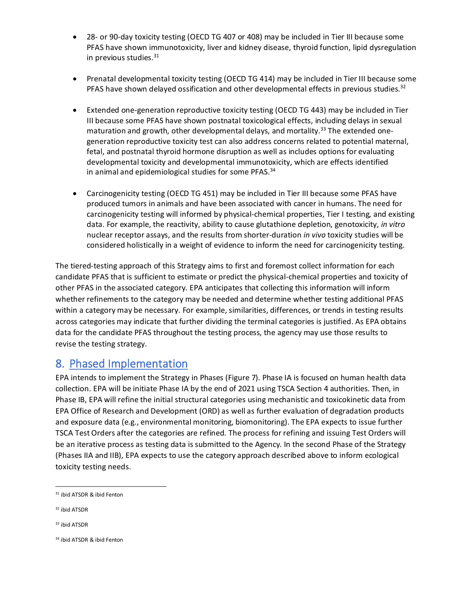- 28- or 90-day toxicity testing (OECD TG 407 or 408) may be included in Tier III because some PFAS have shown immunotoxicity, liver and kidney disease, thyroid function, lipid dysregulation in previous studies. [31](#page-13-1)
- Prenatal developmental toxicity testing (OECD TG 414) may be included in Tier III because some PFAS have shown delayed ossification and other developmental effects in previous studies.<sup>[32](#page-13-2)</sup>
- Extended one-generation reproductive toxicity testing (OECD TG 443) may be included in Tier III because some PFAS have shown postnatal toxicological effects, including delays in sexual maturation and growth, other developmental delays, and mortality.<sup>[33](#page-13-3)</sup> The extended onegeneration reproductive toxicity test can also address concerns related to potential maternal, fetal, and postnatal thyroid hormone disruption as well as includes options for evaluating developmental toxicity and developmental immunotoxicity, which are effects identified in animal and epidemiological studies for some PFAS.<sup>[34](#page-13-4)</sup>
- Carcinogenicity testing (OECD TG 451) may be included in Tier III because some PFAS have produced tumors in animals and have been associated with cancer in humans. The need for carcinogenicity testing will informed by physical-chemical properties, Tier I testing, and existing data. For example, the reactivity, ability to cause glutathione depletion, genotoxicity, *in vitro*  nuclear receptor assays, and the results from shorter-duration *in vivo* toxicity studies will be considered holistically in a weight of evidence to inform the need for carcinogenicity testing.

The tiered-testing approach of this Strategy aims to first and foremost collect information for each candidate PFAS that is sufficient to estimate or predict the physical-chemical properties and toxicity of other PFAS in the associated category. EPA anticipates that collecting this information will inform whether refinements to the category may be needed and determine whether testing additional PFAS within a category may be necessary. For example, similarities, differences, or trends in testing results across categories may indicate that further dividing the terminal categories is justified. As EPA obtains data for the candidate PFAS throughout the testing process, the agency may use those results to revise the testing strategy.

#### <span id="page-13-0"></span>8. Phased Implementation

EPA intends to implement the Strategy in Phases (Figure 7). Phase IA is focused on human health data collection. EPA will be initiate Phase IA by the end of 2021 using TSCA Section 4 authorities. Then, in Phase IB, EPA will refine the initial structural categories using mechanistic and toxicokinetic data from EPA Office of Research and Development (ORD) as well as further evaluation of degradation products and exposure data (e.g., environmental monitoring, biomonitoring). The EPA expects to issue further TSCA Test Orders after the categories are refined. The process for refining and issuing Test Orders will be an iterative process as testing data is submitted to the Agency. In the second Phase of the Strategy (Phases IIA and IIB), EPA expects to use the category approach described above to inform ecological toxicity testing needs.

<span id="page-13-2"></span><sup>32</sup> ibid ATSDR

<span id="page-13-1"></span><sup>31</sup> ibid ATSDR & ibid Fenton

<span id="page-13-3"></span><sup>33</sup> ibid ATSDR

<span id="page-13-4"></span><sup>34</sup> ibid ATSDR & ibid Fenton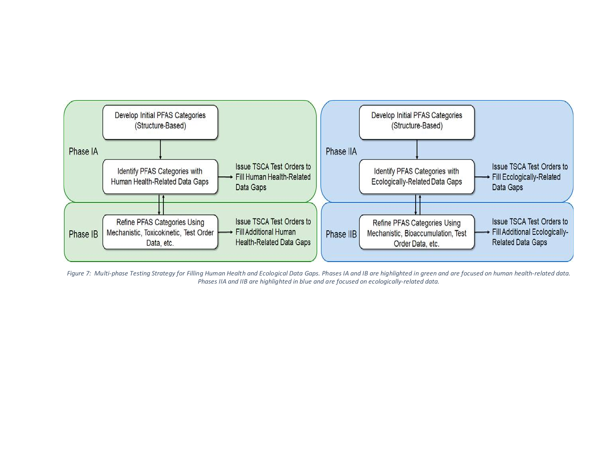

*Figure 7: Multi-phase Testing Strategy for Filling Human Health and Ecological Data Gaps. Phases IA and IB are highlighted in green and are focused on human health-related data. Phases IIA and IIB are highlighted in blue and are focused on ecologically-related data.*